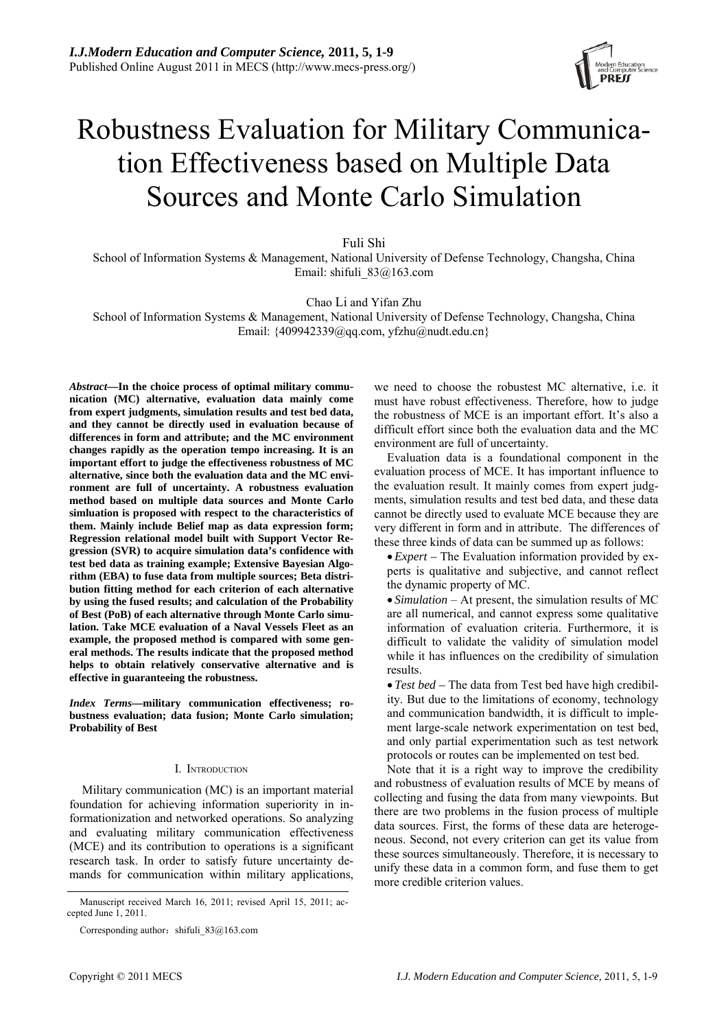

# Robustness Evaluation for Military Communication Effectiveness based on Multiple Data Sources and Monte Carlo Simulation

Fuli Shi

School of Information Systems & Management, National University of Defense Technology, Changsha, China Email: shifuli 83@163.com

Chao Li and Yifan Zhu

School of Information Systems & Management, National University of Defense Technology, Changsha, China Email:  $\{409942339@qq.com, yfzhu@nudt.edu.cn\}$ 

*Abstract***—In the choice process of optimal military communication (MC) alternative, evaluation data mainly come from expert judgments, simulation results and test bed data, and they cannot be directly used in evaluation because of differences in form and attribute; and the MC environment changes rapidly as the operation tempo increasing. It is an important effort to judge the effectiveness robustness of MC alternative, since both the evaluation data and the MC environment are full of uncertainty. A robustness evaluation method based on multiple data sources and Monte Carlo simluation is proposed with respect to the characteristics of them. Mainly include Belief map as data expression form; Regression relational model built with Support Vector Regression (SVR) to acquire simulation data's confidence with test bed data as training example; Extensive Bayesian Algorithm (EBA) to fuse data from multiple sources; Beta distribution fitting method for each criterion of each alternative by using the fused results; and calculation of the Probability of Best (PoB) of each alternative through Monte Carlo simulation. Take MCE evaluation of a Naval Vessels Fleet as an example, the proposed method is compared with some general methods. The results indicate that the proposed method helps to obtain relatively conservative alternative and is effective in guaranteeing the robustness.** 

*Index Terms—***military communication effectiveness; robustness evaluation; data fusion; Monte Carlo simulation; Probability of Best** 

#### I. INTRODUCTION

Military communication (MC) is an important material foundation for achieving information superiority in informationization and networked operations. So analyzing and evaluating military communication effectiveness (MCE) and its contribution to operations is a significant research task. In order to satisfy future uncertainty demands for communication within military applications,

we need to choose the robustest MC alternative, i.e. it must have robust effectiveness. Therefore, how to judge the robustness of MCE is an important effort. It's also a difficult effort since both the evaluation data and the MC environment are full of uncertainty.

Evaluation data is a foundational component in the evaluation process of MCE. It has important influence to the evaluation result. It mainly comes from expert judgments, simulation results and test bed data, and these data cannot be directly used to evaluate MCE because they are very different in form and in attribute. The differences of these three kinds of data can be summed up as follows:

•*Expert –* The Evaluation information provided by experts is qualitative and subjective, and cannot reflect the dynamic property of MC.

• *Simulation* – At present, the simulation results of MC are all numerical, and cannot express some qualitative information of evaluation criteria. Furthermore, it is difficult to validate the validity of simulation model while it has influences on the credibility of simulation results.

• *Test bed –* The data from Test bed have high credibility. But due to the limitations of economy, technology and communication bandwidth, it is difficult to implement large-scale network experimentation on test bed, and only partial experimentation such as test network protocols or routes can be implemented on test bed.

Note that it is a right way to improve the credibility and robustness of evaluation results of MCE by means of collecting and fusing the data from many viewpoints. But there are two problems in the fusion process of multiple data sources. First, the forms of these data are heterogeneous. Second, not every criterion can get its value from these sources simultaneously. Therefore, it is necessary to unify these data in a common form, and fuse them to get more credible criterion values.

Manuscript received March 16, 2011; revised April 15, 2011; accepted June 1, 2011.

Corresponding author: shifuli  $83@163$ .com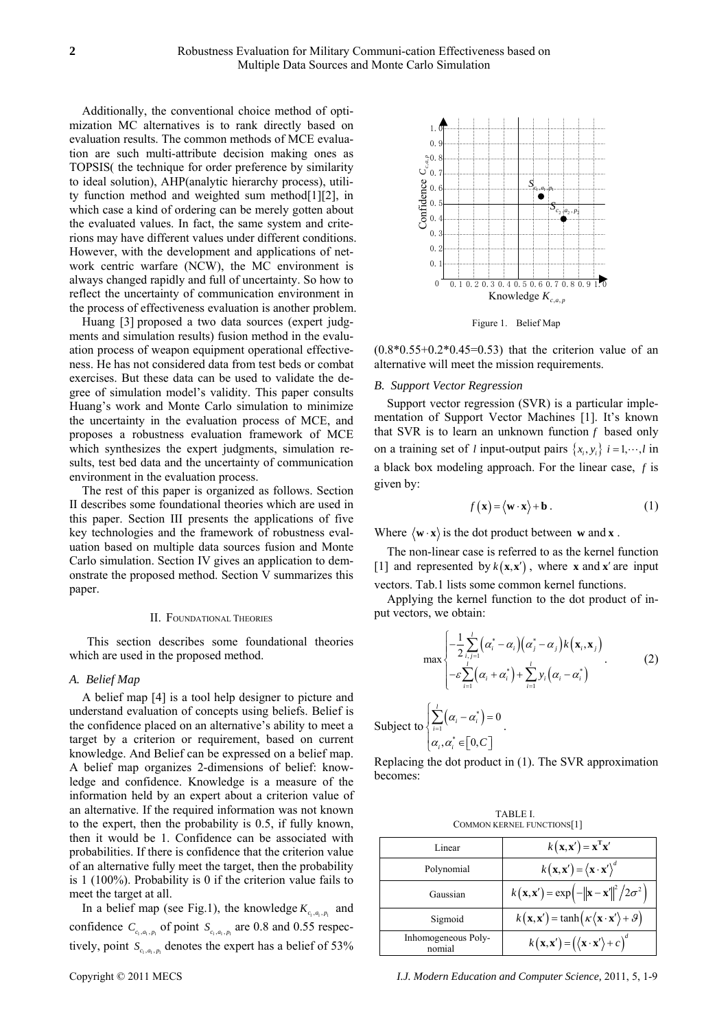Additionally, the conventional choice method of optimization MC alternatives is to rank directly based on evaluation results. The common methods of MCE evaluation are such multi-attribute decision making ones as TOPSIS( the technique for order preference by similarity to ideal solution), AHP(analytic hierarchy process), utility function method and weighted sum method[1][2], in which case a kind of ordering can be merely gotten about the evaluated values. In fact, the same system and criterions may have different values under different conditions. However, with the development and applications of network centric warfare (NCW), the MC environment is always changed rapidly and full of uncertainty. So how to reflect the uncertainty of communication environment in the process of effectiveness evaluation is another problem.

Huang [3] proposed a two data sources (expert judgments and simulation results) fusion method in the evaluation process of weapon equipment operational effectiveness. He has not considered data from test beds or combat exercises. But these data can be used to validate the degree of simulation model's validity. This paper consults Huang's work and Monte Carlo simulation to minimize the uncertainty in the evaluation process of MCE, and proposes a robustness evaluation framework of MCE which synthesizes the expert judgments, simulation results, test bed data and the uncertainty of communication environment in the evaluation process.

The rest of this paper is organized as follows. Section II describes some foundational theories which are used in this paper. Section III presents the applications of five key technologies and the framework of robustness evaluation based on multiple data sources fusion and Monte Carlo simulation. Section IV gives an application to demonstrate the proposed method. Section V summarizes this paper.

#### II. FOUNDATIONAL THEORIES

This section describes some foundational theories which are used in the proposed method.

## *A. Belief Map*

A belief map [4] is a tool help designer to picture and understand evaluation of concepts using beliefs. Belief is the confidence placed on an alternative's ability to meet a target by a criterion or requirement, based on current knowledge. And Belief can be expressed on a belief map. A belief map organizes 2-dimensions of belief: knowledge and confidence. Knowledge is a measure of the information held by an expert about a criterion value of an alternative. If the required information was not known to the expert, then the probability is 0.5, if fully known, then it would be 1. Confidence can be associated with probabilities. If there is confidence that the criterion value of an alternative fully meet the target, then the probability is 1 (100%). Probability is 0 if the criterion value fails to meet the target at all.

In a belief map (see Fig.1), the knowledge  $K_{c_1,a_1,p_1}$  and confidence  $C_{c_1, a_1, p_1}$  of point  $S_{c_1, a_1, p_1}$  are 0.8 and 0.55 respectively, point  $S_{c_1, a_1, p_1}$  denotes the expert has a belief of 53%



Figure 1. Belief Map

 $(0.8*0.55+0.2*0.45=0.53)$  that the criterion value of an alternative will meet the mission requirements.

#### *B. Support Vector Regression*

Support vector regression (SVR) is a particular implementation of Support Vector Machines [1]. It's known that SVR is to learn an unknown function *f* based only on a training set of *l* input-output pairs  $\{x_i, y_i\}$   $i = 1, \dots, l$  in a black box modeling approach. For the linear case, *f* is given by:

$$
f(\mathbf{x}) = \langle \mathbf{w} \cdot \mathbf{x} \rangle + \mathbf{b} . \tag{1}
$$

Where  $\langle \mathbf{w} \cdot \mathbf{x} \rangle$  is the dot product between **w** and **x**.

The non-linear case is referred to as the kernel function [1] and represented by  $k(x, x')$ , where **x** and **x**<sup>'</sup> are input vectors. Tab.1 lists some common kernel functions.

Applying the kernel function to the dot product of input vectors, we obtain:

$$
\max \left\{ \frac{-\frac{1}{2} \sum_{i,j=1}^{l} (\alpha_i^* - \alpha_i)(\alpha_j^* - \alpha_j) k(\mathbf{x}_i, \mathbf{x}_j)}{-\varepsilon \sum_{i=1}^{l} (\alpha_i + \alpha_i^*) + \sum_{i=1}^{l} y_i (\alpha_i - \alpha_i^*)} \right.\n\tag{2}
$$

Subject to 
$$
\sum_{i=1}^{N} (\alpha_i - \alpha_i^*) = 0
$$

$$
\alpha_i, \alpha_i^* \in [0, C]
$$

Replacing the dot product in (1). The SVR approximation becomes:

TABLE I. COMMON KERNEL FUNCTIONS[1]

| Linear                        | $k(\mathbf{x}, \mathbf{x}') = \mathbf{x}^{\mathrm{T}} \mathbf{x}'$                  |
|-------------------------------|-------------------------------------------------------------------------------------|
| Polynomial                    | $k(\mathbf{x}, \mathbf{x}') = (\mathbf{x} \cdot \mathbf{x}')^d$                     |
| Gaussian                      | $k(\mathbf{x}, \mathbf{x}') = \exp(-\ \mathbf{x} - \mathbf{x}'\ ^2 / 2\sigma^2)$    |
| Sigmoid                       | $k(\mathbf{x}, \mathbf{x}') = \tanh(k(\mathbf{x} \cdot \mathbf{x}') + \theta)$      |
| Inhomogeneous Poly-<br>nomial | $k(\mathbf{x}, \mathbf{x}') = (\langle \mathbf{x} \cdot \mathbf{x}' \rangle + c)^d$ |

Copyright © 2011 MECS *I.J. Modern Education and Computer Science,* 2011, 5, 1-9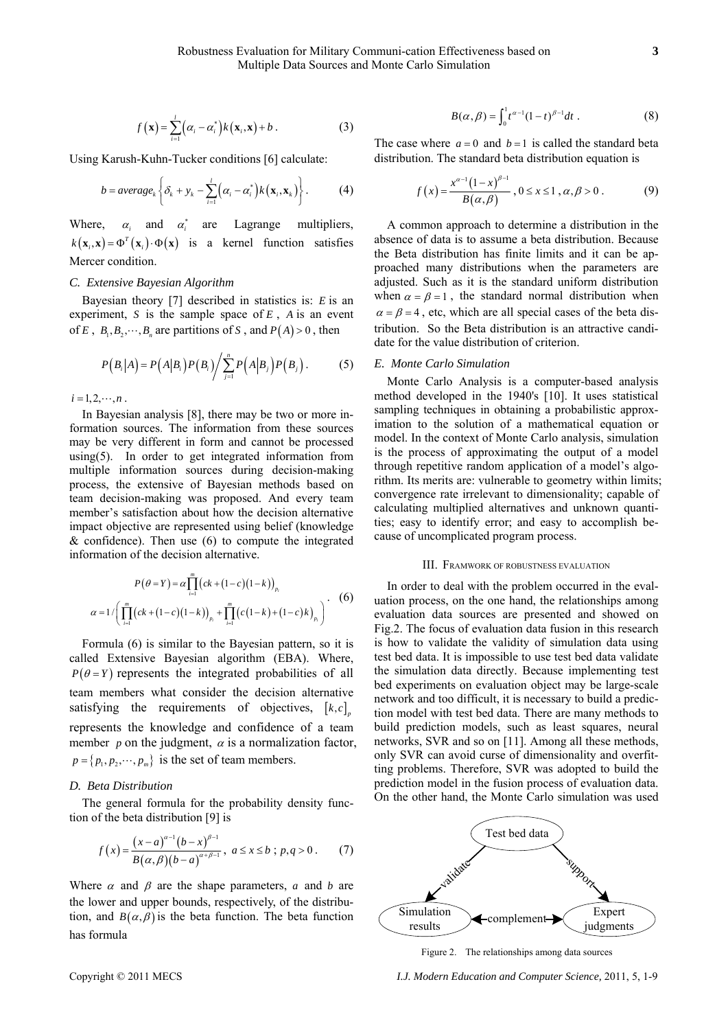$$
f(\mathbf{x}) = \sum_{i=1}^{l} (\alpha_i - \alpha_i^*) k(\mathbf{x}_i, \mathbf{x}) + b.
$$
 (3)

Using Karush-Kuhn-Tucker conditions [6] calculate:

$$
b = average_k \left\{ \delta_k + y_k - \sum_{i=1}^l (\alpha_i - \alpha_i^*) k(\mathbf{x}_i, \mathbf{x}_k) \right\}.
$$
 (4)

Where,  $\alpha_i$  and  $\alpha_i^*$  are Lagrange multipliers,  $k(\mathbf{x}_i, \mathbf{x}) = \Phi^T(\mathbf{x}_i) \cdot \Phi(\mathbf{x})$  is a kernel function satisfies Mercer condition.

## *C. Extensive Bayesian Algorithm*

Bayesian theory [7] described in statistics is: *E* is an experiment, *S* is the sample space of *E* , *A* is an event of *E*,  $B_1, B_2, \dots, B_n$  are partitions of *S*, and  $P(A) > 0$ , then

$$
P(B_i|A) = P(A|B_i)P(B_i)\bigg/ \sum_{j=1}^n P(A|B_j)P(B_j).
$$
 (5)

 $i = 1, 2, \cdots, n$ .

In Bayesian analysis [8], there may be two or more information sources. The information from these sources may be very different in form and cannot be processed using(5). In order to get integrated information from multiple information sources during decision-making process, the extensive of Bayesian methods based on team decision-making was proposed. And every team member's satisfaction about how the decision alternative impact objective are represented using belief (knowledge  $&$  confidence). Then use  $(6)$  to compute the integrated information of the decision alternative.

$$
P(\theta = Y) = \alpha \prod_{i=1}^{m} (ck + (1-c)(1-k))_{p_i}
$$
  
\n
$$
\alpha = 1 / \left( \prod_{i=1}^{m} (ck + (1-c)(1-k))_{p_i} + \prod_{i=1}^{m} (c(1-k) + (1-c)k)_{p_i} \right).
$$
 (6)

Formula (6) is similar to the Bayesian pattern, so it is called Extensive Bayesian algorithm (EBA). Where,  $P(\theta = Y)$  represents the integrated probabilities of all team members what consider the decision alternative satisfying the requirements of objectives,  $[k, c]$ represents the knowledge and confidence of a team member  $p$  on the judgment,  $\alpha$  is a normalization factor,  $p = \{p_1, p_2, \dots, p_m\}$  is the set of team members.

## *D. Beta Distribution*

The general formula for the probability density function of the beta distribution [9] is

$$
f(x) = \frac{(x-a)^{\alpha-1}(b-x)^{\beta-1}}{B(\alpha, \beta)(b-a)^{\alpha+\beta-1}}, \ a \le x \le b \ ; \ p,q > 0. \tag{7}
$$

Where  $\alpha$  and  $\beta$  are the shape parameters,  $\alpha$  and  $\beta$  are the lower and upper bounds, respectively, of the distribution, and  $B(\alpha, \beta)$  is the beta function. The beta function has formula

$$
B(\alpha, \beta) = \int_0^1 t^{\alpha - 1} (1 - t)^{\beta - 1} dt . \tag{8}
$$

The case where  $a = 0$  and  $b = 1$  is called the standard beta distribution. The standard beta distribution equation is

$$
f(x) = \frac{x^{\alpha-1}(1-x)^{\beta-1}}{B(\alpha,\beta)}, 0 \le x \le 1, \alpha, \beta > 0.
$$
 (9)

A common approach to determine a distribution in the absence of data is to assume a beta distribution. Because the Beta distribution has finite limits and it can be approached many distributions when the parameters are adjusted. Such as it is the standard uniform distribution when  $\alpha = \beta = 1$ , the standard normal distribution when  $\alpha = \beta = 4$ , etc, which are all special cases of the beta distribution. So the Beta distribution is an attractive candidate for the value distribution of criterion.

## *E. Monte Carlo Simulation*

Monte Carlo Analysis is a computer-based analysis method developed in the 1940's [10]. It uses statistical sampling techniques in obtaining a probabilistic approximation to the solution of a mathematical equation or model. In the context of Monte Carlo analysis, simulation is the process of approximating the output of a model through repetitive random application of a model's algorithm. Its merits are: vulnerable to geometry within limits; convergence rate irrelevant to dimensionality; capable of calculating multiplied alternatives and unknown quantities; easy to identify error; and easy to accomplish because of uncomplicated program process.

#### III. FRAMWORK OF ROBUSTNESS EVALUATION

In order to deal with the problem occurred in the evaluation process, on the one hand, the relationships among evaluation data sources are presented and showed on Fig.2. The focus of evaluation data fusion in this research is how to validate the validity of simulation data using test bed data. It is impossible to use test bed data validate the simulation data directly. Because implementing test bed experiments on evaluation object may be large-scale network and too difficult, it is necessary to build a prediction model with test bed data. There are many methods to build prediction models, such as least squares, neural networks, SVR and so on [11]. Among all these methods, only SVR can avoid curse of dimensionality and overfitting problems. Therefore, SVR was adopted to build the prediction model in the fusion process of evaluation data. On the other hand, the Monte Carlo simulation was used



Figure 2. The relationships among data sources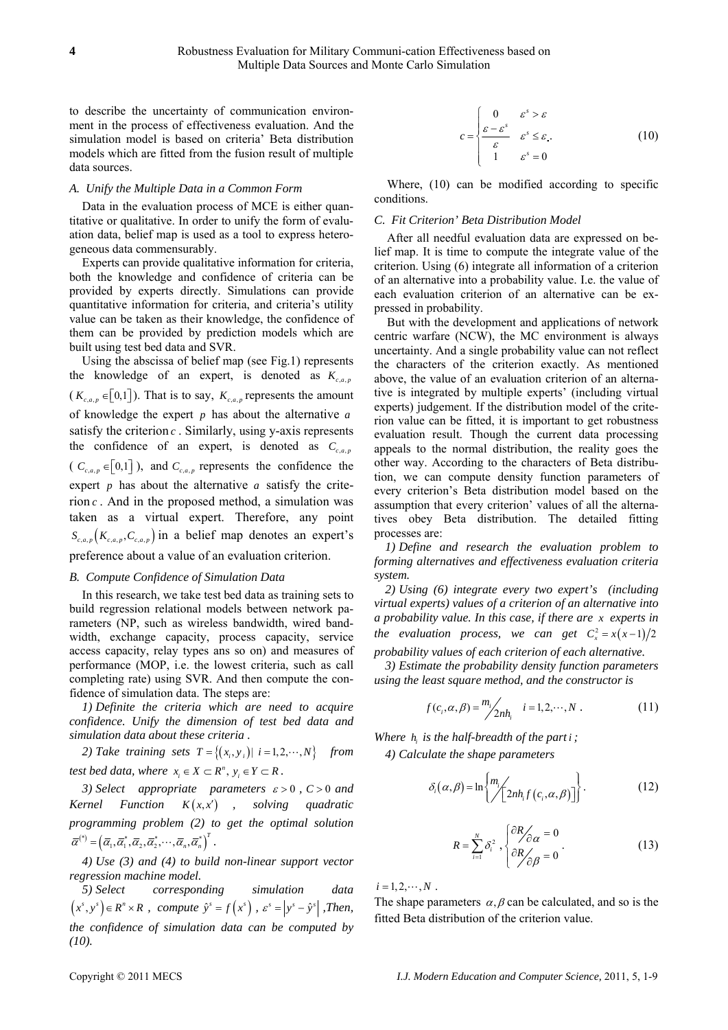to describe the uncertainty of communication environment in the process of effectiveness evaluation. And the simulation model is based on criteria' Beta distribution models which are fitted from the fusion result of multiple data sources.

## *A. Unify the Multiple Data in a Common Form*

Data in the evaluation process of MCE is either quantitative or qualitative. In order to unify the form of evaluation data, belief map is used as a tool to express heterogeneous data commensurably.

Experts can provide qualitative information for criteria, both the knowledge and confidence of criteria can be provided by experts directly. Simulations can provide quantitative information for criteria, and criteria's utility value can be taken as their knowledge, the confidence of them can be provided by prediction models which are built using test bed data and SVR.

Using the abscissa of belief map (see Fig.1) represents the knowledge of an expert, is denoted as  $K_{c,a,p}$  $(K_{c,a,p} \in [0,1])$ . That is to say,  $K_{c,a,p}$  represents the amount of knowledge the expert *p* has about the alternative *a* satisfy the criterion *c* . Similarly, using y-axis represents the confidence of an expert, is denoted as  $C_{c,a,p}$ (  $C_{c, a, p} \in [0,1]$ ), and  $C_{c, a, p}$  represents the confidence the expert *p* has about the alternative *a* satisfy the criterion *c* . And in the proposed method, a simulation was taken as a virtual expert. Therefore, any point  $S_{c,a,p}(K_{c,a,p}, C_{c,a,p})$  in a belief map denotes an expert's preference about a value of an evaluation criterion.

## *B. Compute Confidence of Simulation Data*

In this research, we take test bed data as training sets to build regression relational models between network parameters (NP, such as wireless bandwidth, wired bandwidth, exchange capacity, process capacity, service access capacity, relay types ans so on) and measures of performance (MOP, i.e. the lowest criteria, such as call completing rate) using SVR. And then compute the confidence of simulation data. The steps are:

*1) Definite the criteria which are need to acquire confidence. Unify the dimension of test bed data and simulation data about these criteria .* 

2) Take training sets 
$$
T = \{(x_i, y_i) | i = 1, 2, \dots, N\}
$$
 from

*test bed data, where*  $x_i \in X \subset R^n$ ,  $y_i \in Y \subset R$ .

*3) Select appropriate parameters* <sup>ε</sup> > 0 *, C* > 0 *and Kernel Function*  $K(x, x')$  *, solving quadratic programming problem (2) to get the optimal solution*   $\overline{\alpha}^{(*)} = (\overline{\alpha}_1, \overline{\alpha}_1^*, \overline{\alpha}_2, \overline{\alpha}_2^*, \cdots, \overline{\alpha}_n, \overline{\alpha}_n^*)^T$ .

*4) Use (3) and (4) to build non-linear support vector regression machine model.* 

*5) Select corresponding simulation data*   $(x^{s}, y^{s}) \in R^{n} \times R$ , compute  $\hat{y}^{s} = f(x^{s})$ ,  $\varepsilon^{s} = |y^{s} - \hat{y}^{s}|$ , Then, *the confidence of simulation data can be computed by (10).* 

$$
c = \begin{cases} 0 & \varepsilon^s > \varepsilon \\ \frac{\varepsilon - \varepsilon^s}{\varepsilon} & \varepsilon^s \le \varepsilon, \\ 1 & \varepsilon^s = 0 \end{cases}
$$
 (10)

Where, (10) can be modified according to specific conditions.

# *C. Fit Criterion' Beta Distribution Model*

After all needful evaluation data are expressed on belief map. It is time to compute the integrate value of the criterion. Using (6) integrate all information of a criterion of an alternative into a probability value. I.e. the value of each evaluation criterion of an alternative can be expressed in probability.

But with the development and applications of network centric warfare (NCW), the MC environment is always uncertainty. And a single probability value can not reflect the characters of the criterion exactly. As mentioned above, the value of an evaluation criterion of an alternative is integrated by multiple experts' (including virtual experts) judgement. If the distribution model of the criterion value can be fitted, it is important to get robustness evaluation result. Though the current data processing appeals to the normal distribution, the reality goes the other way. According to the characters of Beta distribution, we can compute density function parameters of every criterion's Beta distribution model based on the assumption that every criterion' values of all the alternatives obey Beta distribution. The detailed fitting processes are:

*1) Define and research the evaluation problem to forming alternatives and effectiveness evaluation criteria system.* 

*2) Using (6) integrate every two expert's (including virtual experts) values of a criterion of an alternative into a probability value. In this case, if there are x experts in the evaluation process, we can get*  $C_x^2 = x(x-1)/2$ *probability values of each criterion of each alternative.* 

*3) Estimate the probability density function parameters using the least square method, and the constructor is* 

$$
f(c_i, \alpha, \beta) = \frac{m_i}{2n h_i} \quad i = 1, 2, \cdots, N. \tag{11}
$$

*Where*  $h_i$  *is the half-breadth of the part i ; 4) Calculate the shape parameters* 

$$
\delta_i(\alpha,\beta) = \ln \left\{ \frac{m_i}{2nh_i f(c_i,\alpha,\beta)} \right\}.
$$
 (12)

$$
R = \sum_{i=1}^{N} \delta_i^2 , \begin{cases} \frac{\partial R}{\partial \alpha} = 0 \\ \frac{\partial R}{\partial \beta} = 0 \end{cases} . \tag{13}
$$

 $i = 1, 2, \cdots, N$ .

The shape parameters  $\alpha$ ,  $\beta$  can be calculated, and so is the fitted Beta distribution of the criterion value.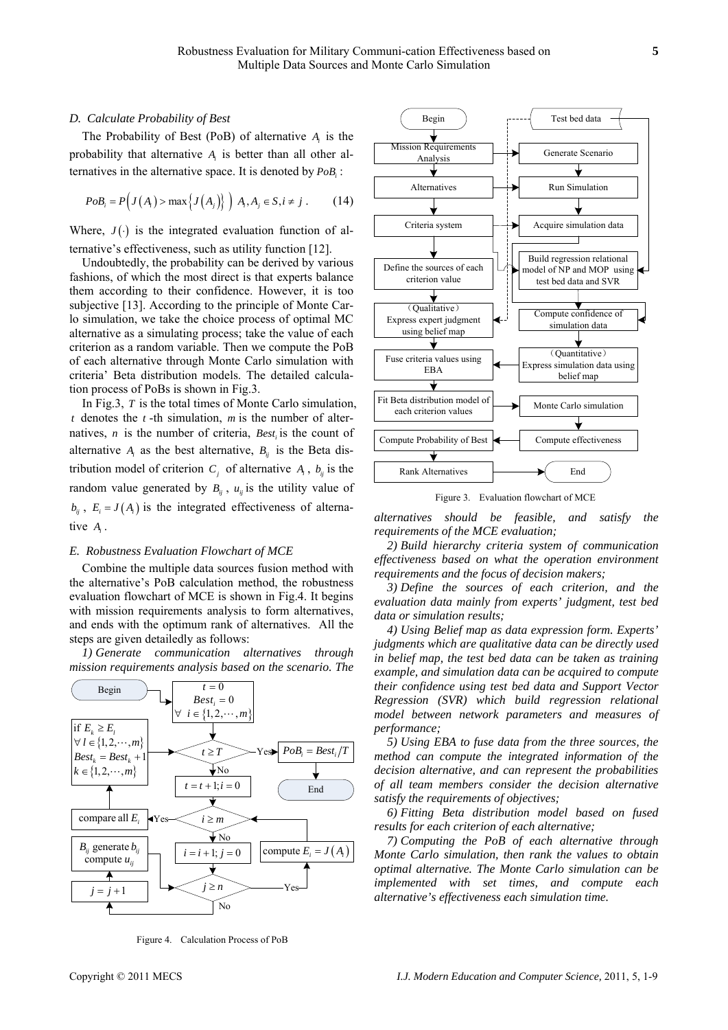## *D. Calculate Probability of Best*

The Probability of Best (PoB) of alternative *Ai* is the probability that alternative *Ai* is better than all other alternatives in the alternative space. It is denoted by  $PoB$ :

$$
PoB_i = P\Big(J\big(A_i\big) > \max\Big\{J\big(A_j\big)\Big\}\Big) A_i, A_j \in S, i \neq j \tag{14}
$$

Where,  $J(\cdot)$  is the integrated evaluation function of alternative's effectiveness, such as utility function [12].

Undoubtedly, the probability can be derived by various fashions, of which the most direct is that experts balance them according to their confidence. However, it is too subjective [13]. According to the principle of Monte Carlo simulation, we take the choice process of optimal MC alternative as a simulating process; take the value of each criterion as a random variable. Then we compute the PoB of each alternative through Monte Carlo simulation with criteria' Beta distribution models. The detailed calculation process of PoBs is shown in Fig.3.

In Fig.3, *T* is the total times of Monte Carlo simulation, *t* denotes the *t* -th simulation, *m* is the number of alternatives, *n* is the number of criteria, *Best*, is the count of alternative  $A_i$  as the best alternative,  $B_{ii}$  is the Beta distribution model of criterion  $C_j$  of alternative  $A_i$ ,  $b_{ij}$  is the random value generated by  $B_{ii}$ ,  $u_{ii}$  is the utility value of  $b_{ii}$ ,  $E_i = J(A_i)$  is the integrated effectiveness of alternative *Ai* .

#### *E. Robustness Evaluation Flowchart of MCE*

Combine the multiple data sources fusion method with the alternative's PoB calculation method, the robustness evaluation flowchart of MCE is shown in Fig.4. It begins with mission requirements analysis to form alternatives. and ends with the optimum rank of alternatives. All the steps are given detailedly as follows:

*1) Generate communication alternatives through mission requirements analysis based on the scenario. The* 



Figure 4. Calculation Process of PoB



Figure 3. Evaluation flowchart of MCE

*alternatives should be feasible, and satisfy the requirements of the MCE evaluation;* 

*2) Build hierarchy criteria system of communication effectiveness based on what the operation environment requirements and the focus of decision makers;* 

*3) Define the sources of each criterion, and the evaluation data mainly from experts' judgment, test bed data or simulation results;* 

*4) Using Belief map as data expression form. Experts' judgments which are qualitative data can be directly used in belief map, the test bed data can be taken as training example, and simulation data can be acquired to compute their confidence using test bed data and Support Vector Regression (SVR) which build regression relational model between network parameters and measures of performance;* 

*5) Using EBA to fuse data from the three sources, the method can compute the integrated information of the decision alternative, and can represent the probabilities of all team members consider the decision alternative satisfy the requirements of objectives;* 

*6) Fitting Beta distribution model based on fused results for each criterion of each alternative;* 

*7) Computing the PoB of each alternative through Monte Carlo simulation, then rank the values to obtain optimal alternative. The Monte Carlo simulation can be implemented with set times, and compute each alternative's effectiveness each simulation time.*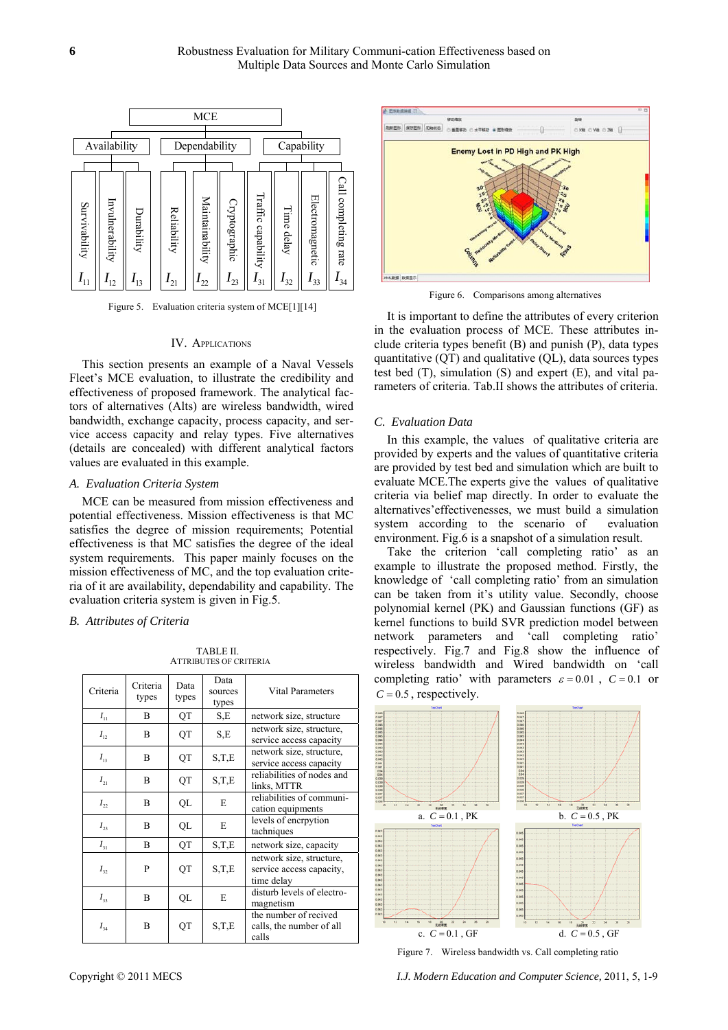

Figure 5. Evaluation criteria system of MCE[1][14]

## IV. APPLICATIONS

This section presents an example of a Naval Vessels Fleet's MCE evaluation, to illustrate the credibility and effectiveness of proposed framework. The analytical factors of alternatives (Alts) are wireless bandwidth, wired bandwidth, exchange capacity, process capacity, and service access capacity and relay types. Five alternatives (details are concealed) with different analytical factors values are evaluated in this example.

## *A. Evaluation Criteria System*

MCE can be measured from mission effectiveness and potential effectiveness. Mission effectiveness is that MC satisfies the degree of mission requirements; Potential effectiveness is that MC satisfies the degree of the ideal system requirements. This paper mainly focuses on the mission effectiveness of MC, and the top evaluation criteria of it are availability, dependability and capability. The evaluation criteria system is given in Fig.5.

#### *B. Attributes of Criteria*

TABLE II. ATTRIBUTES OF CRITERIA

| Criteria | Criteria<br>types | Data<br>types | Data<br>sources<br>types | Vital Parameters                                                   |
|----------|-------------------|---------------|--------------------------|--------------------------------------------------------------------|
| $I_{11}$ | R                 | QT            | S,E                      | network size, structure                                            |
| $I_{12}$ | B                 | QT            | S,E                      | network size, structure,<br>service access capacity                |
| $I_{13}$ | B                 | QT            | S,T,E                    | network size, structure,<br>service access capacity                |
| $I_{21}$ | B                 | QT            | S,T,E                    | reliabilities of nodes and<br>links, MTTR                          |
| $I_{22}$ | B                 | QL            | E                        | reliabilities of communi-<br>cation equipments                     |
| $I_{23}$ | R                 | QL            | E                        | levels of encrpytion<br>tachniques                                 |
| $I_{31}$ | R                 | QT            | S,T,E                    | network size, capacity                                             |
| $I_{32}$ | P                 | QT            | S,T,E                    | network size, structure,<br>service access capacity,<br>time delay |
| $I_{33}$ | R                 | QL            | E                        | disturb levels of electro-<br>magnetism                            |
| $I_{34}$ | B                 | QT            | S,T,E                    | the number of recived<br>calls, the number of all<br>calls         |



score

Figure 6. Comparisons among alternatives

It is important to define the attributes of every criterion in the evaluation process of MCE. These attributes include criteria types benefit (B) and punish (P), data types quantitative (QT) and qualitative (QL), data sources types test bed (T), simulation (S) and expert (E), and vital parameters of criteria. Tab.II shows the attributes of criteria.

#### *C. Evaluation Data*

In this example, the values of qualitative criteria are provided by experts and the values of quantitative criteria are provided by test bed and simulation which are built to evaluate MCE.The experts give the values of qualitative criteria via belief map directly. In order to evaluate the alternatives'effectivenesses, we must build a simulation system according to the scenario of evaluation environment. Fig.6 is a snapshot of a simulation result.

Take the criterion 'call completing ratio' as an example to illustrate the proposed method. Firstly, the knowledge of 'call completing ratio' from an simulation can be taken from it's utility value. Secondly, choose polynomial kernel (PK) and Gaussian functions (GF) as kernel functions to build SVR prediction model between network parameters and 'call completing ratio' respectively. Fig.7 and Fig.8 show the influence of wireless bandwidth and Wired bandwidth on 'call completing ratio' with parameters  $\varepsilon = 0.01$ ,  $C = 0.1$  or  $C = 0.5$ , respectively.



Figure 7. Wireless bandwidth vs. Call completing ratio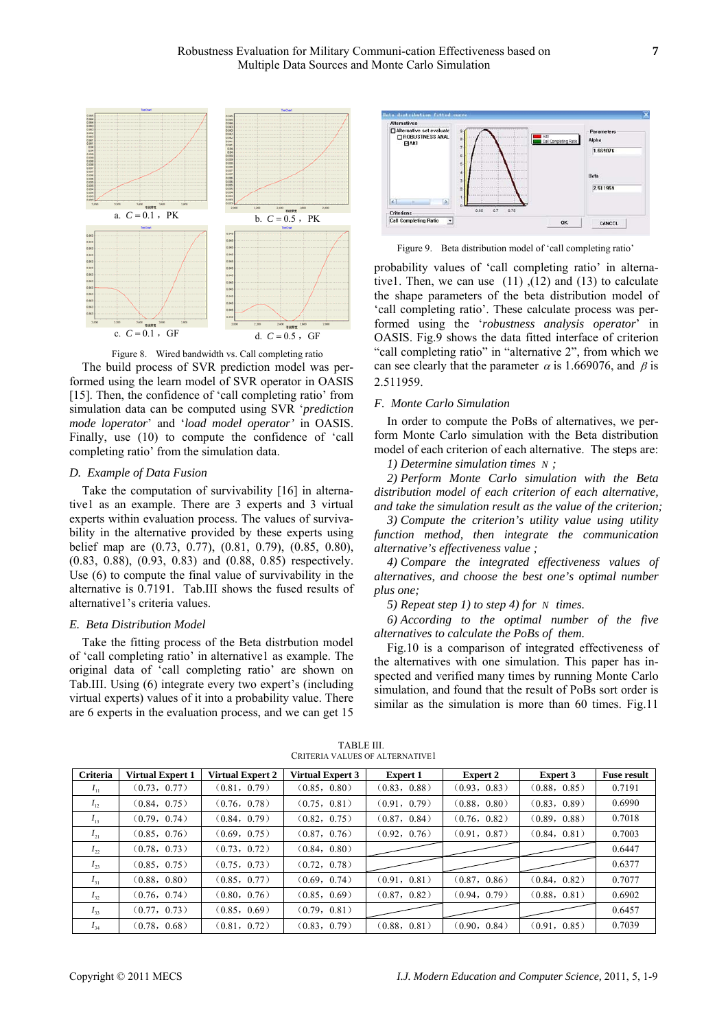

Figure 8. Wired bandwidth vs. Call completing ratio The build process of SVR prediction model was performed using the learn model of SVR operator in OASIS [15]. Then, the confidence of 'call completing ratio' from simulation data can be computed using SVR '*prediction mode loperator*' and '*load model operator'* in OASIS. Finally, use (10) to compute the confidence of 'call completing ratio' from the simulation data.

#### *D. Example of Data Fusion*

Take the computation of survivability [16] in alternative1 as an example. There are 3 experts and 3 virtual experts within evaluation process. The values of survivability in the alternative provided by these experts using belief map are (0.73, 0.77), (0.81, 0.79), (0.85, 0.80), (0.83, 0.88), (0.93, 0.83) and (0.88, 0.85) respectively. Use (6) to compute the final value of survivability in the alternative is 0.7191. Tab.III shows the fused results of alternative1's criteria values.

## *E. Beta Distribution Model*

Take the fitting process of the Beta distrbution model of 'call completing ratio' in alternative1 as example. The original data of 'call completing ratio' are shown on Tab.III. Using (6) integrate every two expert's (including virtual experts) values of it into a probability value. There are 6 experts in the evaluation process, and we can get 15



Figure 9. Beta distribution model of 'call completing ratio'

probability values of 'call completing ratio' in alternative1. Then, we can use  $(11)$ ,  $(12)$  and  $(13)$  to calculate the shape parameters of the beta distribution model of 'call completing ratio'. These calculate process was performed using the '*robustness analysis operator*' in OASIS. Fig.9 shows the data fitted interface of criterion "call completing ratio" in "alternative 2", from which we can see clearly that the parameter  $\alpha$  is 1.669076, and  $\beta$  is 2.511959.

## *F. Monte Carlo Simulation*

In order to compute the PoBs of alternatives, we perform Monte Carlo simulation with the Beta distribution model of each criterion of each alternative. The steps are:

*1) Determine simulation times N ;* 

*2) Perform Monte Carlo simulation with the Beta distribution model of each criterion of each alternative, and take the simulation result as the value of the criterion;* 

*3) Compute the criterion's utility value using utility function method, then integrate the communication alternative's effectiveness value ;* 

*4) Compare the integrated effectiveness values of alternatives, and choose the best one's optimal number plus one;* 

*5) Repeat step 1) to step 4) for N times.* 

*6) According to the optimal number of the five alternatives to calculate the PoBs of them.* 

Fig.10 is a comparison of integrated effectiveness of the alternatives with one simulation. This paper has inspected and verified many times by running Monte Carlo simulation, and found that the result of PoBs sort order is similar as the simulation is more than 60 times. Fig.11

| <b>Criteria</b> | <b>Virtual Expert 1</b> | <b>Virtual Expert 2</b> | <b>Virtual Expert 3</b> | <b>Expert 1</b> | <b>Expert 2</b> | <b>Expert 3</b> | <b>Fuse result</b> |
|-----------------|-------------------------|-------------------------|-------------------------|-----------------|-----------------|-----------------|--------------------|
| $I_{11}$        | (0.73, 0.77)            | (0.81, 0.79)            | (0.85, 0.80)            | (0.83, 0.88)    | (0.93, 0.83)    | (0.88, 0.85)    | 0.7191             |
| $I_{12}$        | (0.84, 0.75)            | (0.76, 0.78)            | (0.75, 0.81)            | (0.91, 0.79)    | (0.88, 0.80)    | (0.83, 0.89)    | 0.6990             |
| $I_{13}$        | (0.79, 0.74)            | (0.84, 0.79)            | (0.82, 0.75)            | (0.87, 0.84)    | (0.76, 0.82)    | (0.89, 0.88)    | 0.7018             |
| $I_{21}$        | (0.85, 0.76)            | (0.69, 0.75)            | (0.87, 0.76)            | (0.92, 0.76)    | (0.91, 0.87)    | (0.84, 0.81)    | 0.7003             |
| $I_{22}$        | (0.78, 0.73)            | (0.73, 0.72)            | (0.84, 0.80)            |                 |                 |                 | 0.6447             |
| $I_{23}$        | (0.85, 0.75)            | (0.75, 0.73)            | (0.72, 0.78)            |                 |                 |                 | 0.6377             |
| $I_{31}$        | (0.88, 0.80)            | (0.85, 0.77)            | (0.69, 0.74)            | (0.91, 0.81)    | (0.87, 0.86)    | (0.84, 0.82)    | 0.7077             |
| $I_{32}$        | (0.76, 0.74)            | (0.80, 0.76)            | (0.85, 0.69)            | (0.87, 0.82)    | (0.94, 0.79)    | (0.88, 0.81)    | 0.6902             |
| $I_{33}$        | (0.77, 0.73)            | (0.85, 0.69)            | (0.79, 0.81)            |                 |                 |                 | 0.6457             |
| $I_{34}$        | (0.78, 0.68)            | (0.81, 0.72)            | (0.83, 0.79)            | (0.88, 0.81)    | (0.90, 0.84)    | (0.91, 0.85)    | 0.7039             |

TABLE III. CRITERIA VALUES OF ALTERNATIVE1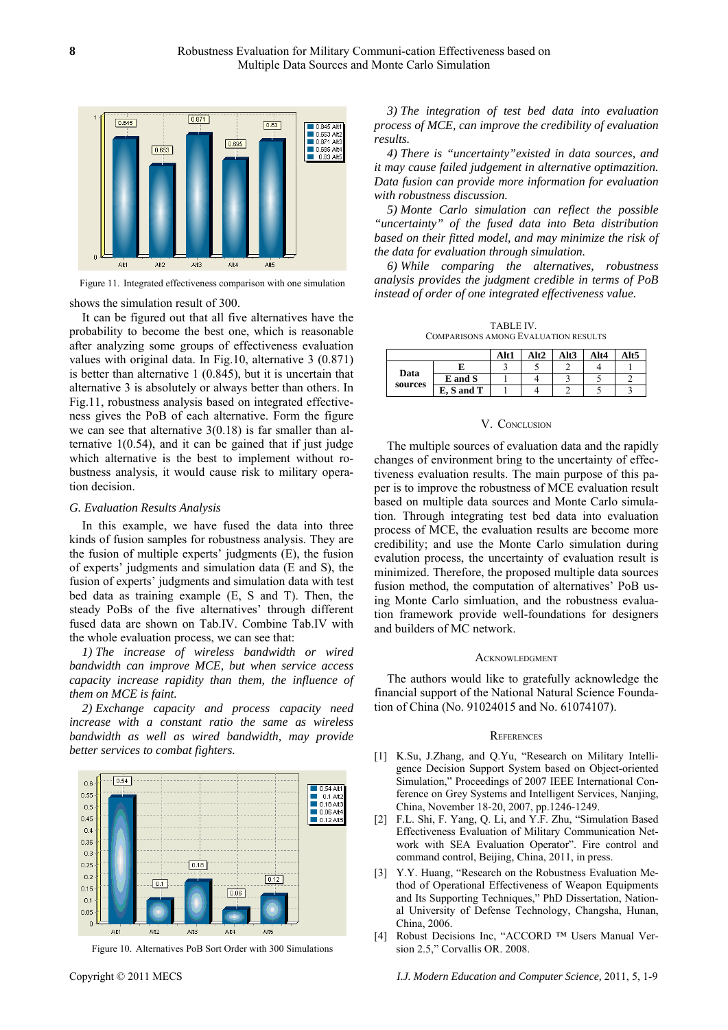

Figure 11. Integrated effectiveness comparison with one simulation

shows the simulation result of 300.

It can be figured out that all five alternatives have the probability to become the best one, which is reasonable after analyzing some groups of effectiveness evaluation values with original data. In Fig.10, alternative 3 (0.871) is better than alternative 1 (0.845), but it is uncertain that alternative 3 is absolutely or always better than others. In Fig.11, robustness analysis based on integrated effectiveness gives the PoB of each alternative. Form the figure we can see that alternative 3(0.18) is far smaller than alternative  $1(0.54)$ , and it can be gained that if just judge which alternative is the best to implement without robustness analysis, it would cause risk to military operation decision.

#### *G. Evaluation Results Analysis*

In this example, we have fused the data into three kinds of fusion samples for robustness analysis. They are the fusion of multiple experts' judgments (E), the fusion of experts' judgments and simulation data (E and S), the fusion of experts' judgments and simulation data with test bed data as training example (E, S and T). Then, the steady PoBs of the five alternatives' through different fused data are shown on Tab.IV. Combine Tab.IV with the whole evaluation process, we can see that:

*1) The increase of wireless bandwidth or wired bandwidth can improve MCE, but when service access capacity increase rapidity than them, the influence of them on MCE is faint.* 

*2) Exchange capacity and process capacity need increase with a constant ratio the same as wireless bandwidth as well as wired bandwidth, may provide better services to combat fighters.* 



Figure 10. Alternatives PoB Sort Order with 300 Simulations

*3) The integration of test bed data into evaluation process of MCE, can improve the credibility of evaluation results.* 

*4) There is "uncertainty"existed in data sources, and it may cause failed judgement in alternative optimazition. Data fusion can provide more information for evaluation with robustness discussion.* 

*5) Monte Carlo simulation can reflect the possible "uncertainty" of the fused data into Beta distribution based on their fitted model, and may minimize the risk of the data for evaluation through simulation.* 

*6) While comparing the alternatives, robustness analysis provides the judgment credible in terms of PoB instead of order of one integrated effectiveness value.* 

TABLE IV. COMPARISONS AMONG EVALUATION RESULTS

|                 |            | Alt1 | Alt2 | Alt3 | Alt4 | Alt5 |
|-----------------|------------|------|------|------|------|------|
| Data<br>sources |            |      |      |      |      |      |
|                 | E and S    |      |      |      |      |      |
|                 | E, S and T |      |      |      |      |      |

## V. CONCLUSION

The multiple sources of evaluation data and the rapidly changes of environment bring to the uncertainty of effectiveness evaluation results. The main purpose of this paper is to improve the robustness of MCE evaluation result based on multiple data sources and Monte Carlo simulation. Through integrating test bed data into evaluation process of MCE, the evaluation results are become more credibility; and use the Monte Carlo simulation during evalution process, the uncertainty of evaluation result is minimized. Therefore, the proposed multiple data sources fusion method, the computation of alternatives' PoB using Monte Carlo simluation, and the robustness evaluation framework provide well-foundations for designers and builders of MC network.

#### **ACKNOWLEDGMENT**

The authors would like to gratefully acknowledge the financial support of the National Natural Science Foundation of China (No. 91024015 and No. 61074107).

#### **REFERENCES**

- [1] K.Su, J.Zhang, and Q.Yu, "Research on Military Intelligence Decision Support System based on Object-oriented Simulation," Proceedings of 2007 IEEE International Conference on Grey Systems and Intelligent Services, Nanjing, China, November 18-20, 2007, pp.1246-1249.
- [2] F.L. Shi, F. Yang, Q. Li, and Y.F. Zhu, "Simulation Based Effectiveness Evaluation of Military Communication Network with SEA Evaluation Operator". Fire control and command control, Beijing, China, 2011, in press.
- [3] Y.Y. Huang, "Research on the Robustness Evaluation Method of Operational Effectiveness of Weapon Equipments and Its Supporting Techniques," PhD Dissertation, National University of Defense Technology, Changsha, Hunan, China, 2006.
- [4] Robust Decisions Inc, "ACCORD ™ Users Manual Version 2.5," Corvallis OR. 2008.

Copyright © 2011 MECS *I.J. Modern Education and Computer Science,* 2011, 5, 1-9